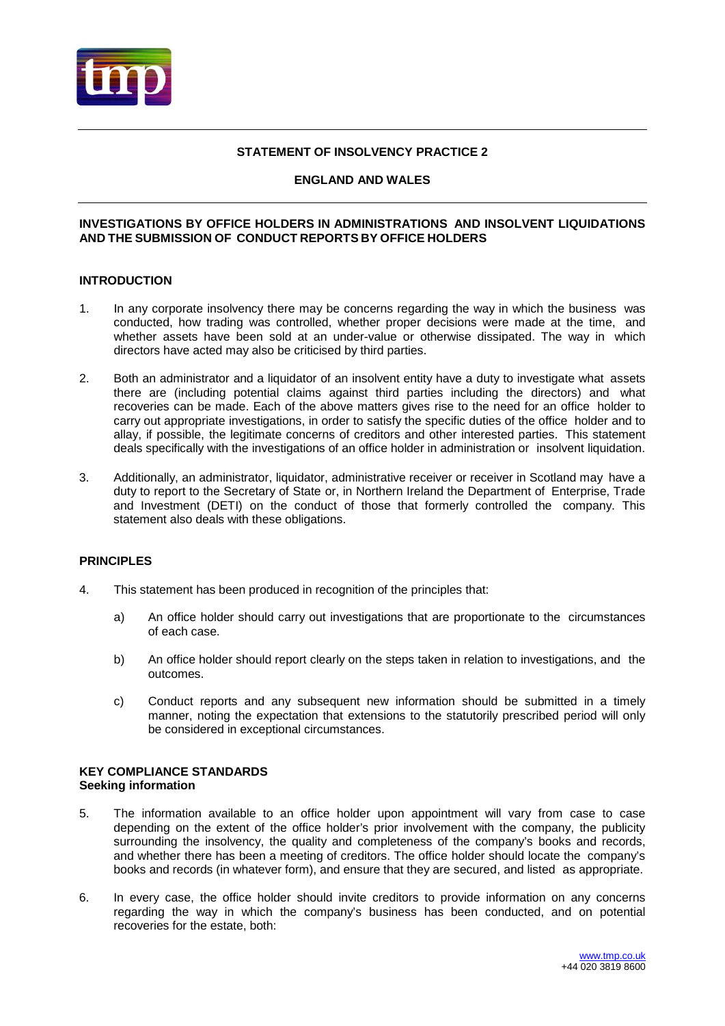

# **STATEMENT OF INSOLVENCY PRACTICE 2**

# **ENGLAND AND WALES**

### **INVESTIGATIONS BY OFFICE HOLDERS IN ADMINISTRATIONS AND INSOLVENT LIQUIDATIONS AND THE SUBMISSION OF CONDUCT REPORTS BY OFFICE HOLDERS**

# **INTRODUCTION**

- 1. In any corporate insolvency there may be concerns regarding the way in which the business was conducted, how trading was controlled, whether proper decisions were made at the time, and whether assets have been sold at an under-value or otherwise dissipated. The way in which directors have acted may also be criticised by third parties.
- 2. Both an administrator and a liquidator of an insolvent entity have a duty to investigate what assets there are (including potential claims against third parties including the directors) and what recoveries can be made. Each of the above matters gives rise to the need for an office holder to carry out appropriate investigations, in order to satisfy the specific duties of the office holder and to allay, if possible, the legitimate concerns of creditors and other interested parties. This statement deals specifically with the investigations of an office holder in administration or insolvent liquidation.
- 3. Additionally, an administrator, liquidator, administrative receiver or receiver in Scotland may have a duty to report to the Secretary of State or, in Northern Ireland the Department of Enterprise, Trade and Investment (DETI) on the conduct of those that formerly controlled the company. This statement also deals with these obligations.

### **PRINCIPLES**

- 4. This statement has been produced in recognition of the principles that:
	- a) An office holder should carry out investigations that are proportionate to the circumstances of each case.
	- b) An office holder should report clearly on the steps taken in relation to investigations, and the outcomes.
	- c) Conduct reports and any subsequent new information should be submitted in a timely manner, noting the expectation that extensions to the statutorily prescribed period will only be considered in exceptional circumstances.

#### **KEY COMPLIANCE STANDARDS Seeking information**

- 5. The information available to an office holder upon appointment will vary from case to case depending on the extent of the office holder's prior involvement with the company, the publicity surrounding the insolvency, the quality and completeness of the company's books and records, and whether there has been a meeting of creditors. The office holder should locate the company's books and records (in whatever form), and ensure that they are secured, and listed as appropriate.
- 6. In every case, the office holder should invite creditors to provide information on any concerns regarding the way in which the company's business has been conducted, and on potential recoveries for the estate, both: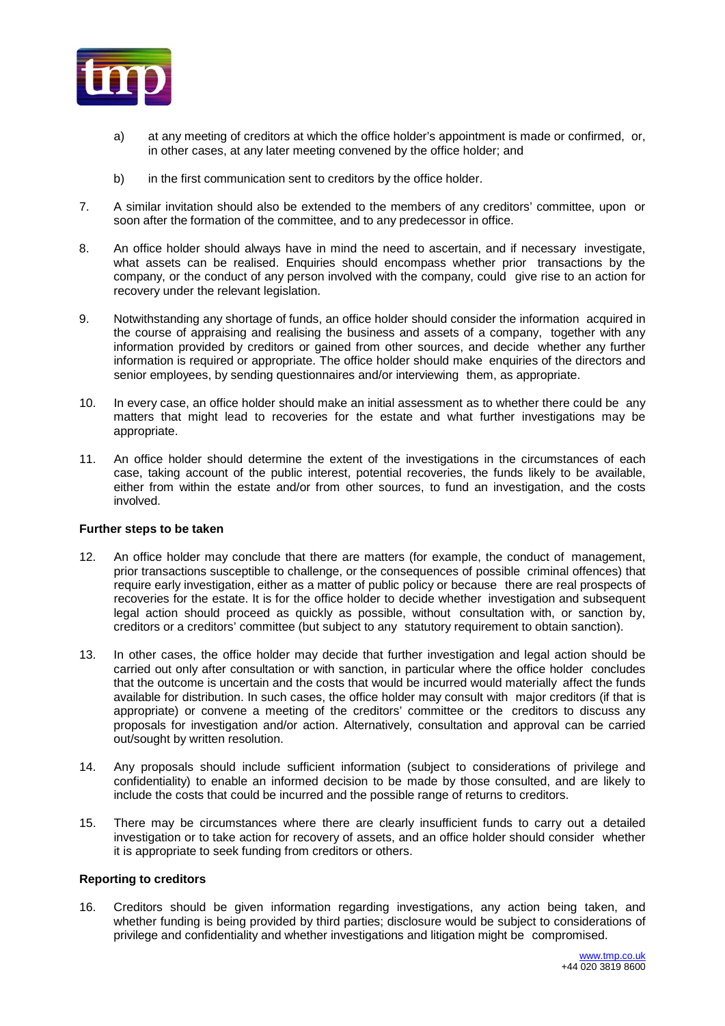

- a) at any meeting of creditors at which the office holder's appointment is made or confirmed, or, in other cases, at any later meeting convened by the office holder; and
- b) in the first communication sent to creditors by the office holder.
- 7. A similar invitation should also be extended to the members of any creditors' committee, upon or soon after the formation of the committee, and to any predecessor in office.
- 8. An office holder should always have in mind the need to ascertain, and if necessary investigate, what assets can be realised. Enquiries should encompass whether prior transactions by the company, or the conduct of any person involved with the company, could give rise to an action for recovery under the relevant legislation.
- 9. Notwithstanding any shortage of funds, an office holder should consider the information acquired in the course of appraising and realising the business and assets of a company, together with any information provided by creditors or gained from other sources, and decide whether any further information is required or appropriate. The office holder should make enquiries of the directors and senior employees, by sending questionnaires and/or interviewing them, as appropriate.
- 10. In every case, an office holder should make an initial assessment as to whether there could be any matters that might lead to recoveries for the estate and what further investigations may be appropriate.
- 11. An office holder should determine the extent of the investigations in the circumstances of each case, taking account of the public interest, potential recoveries, the funds likely to be available, either from within the estate and/or from other sources, to fund an investigation, and the costs involved.

# **Further steps to be taken**

- 12. An office holder may conclude that there are matters (for example, the conduct of management, prior transactions susceptible to challenge, or the consequences of possible criminal offences) that require early investigation, either as a matter of public policy or because there are real prospects of recoveries for the estate. It is for the office holder to decide whether investigation and subsequent legal action should proceed as quickly as possible, without consultation with, or sanction by, creditors or a creditors' committee (but subject to any statutory requirement to obtain sanction).
- 13. In other cases, the office holder may decide that further investigation and legal action should be carried out only after consultation or with sanction, in particular where the office holder concludes that the outcome is uncertain and the costs that would be incurred would materially affect the funds available for distribution. In such cases, the office holder may consult with major creditors (if that is appropriate) or convene a meeting of the creditors' committee or the creditors to discuss any proposals for investigation and/or action. Alternatively, consultation and approval can be carried out/sought by written resolution.
- 14. Any proposals should include sufficient information (subject to considerations of privilege and confidentiality) to enable an informed decision to be made by those consulted, and are likely to include the costs that could be incurred and the possible range of returns to creditors.
- 15. There may be circumstances where there are clearly insufficient funds to carry out a detailed investigation or to take action for recovery of assets, and an office holder should consider whether it is appropriate to seek funding from creditors or others.

### **Reporting to creditors**

16. Creditors should be given information regarding investigations, any action being taken, and whether funding is being provided by third parties; disclosure would be subject to considerations of privilege and confidentiality and whether investigations and litigation might be compromised.